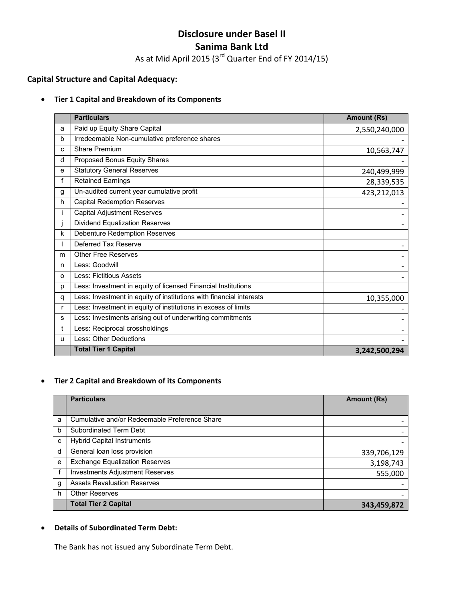# **Disclosure under Basel II Sanima Bank Ltd**

As at Mid April 2015 (3<sup>rd</sup> Quarter End of FY 2014/15)

# **Capital Structure and Capital Adequacy:**

#### • **Tier 1 Capital and Breakdown of its Components**

|              | <b>Particulars</b>                                                  | <b>Amount (Rs)</b> |
|--------------|---------------------------------------------------------------------|--------------------|
| a            | Paid up Equity Share Capital                                        | 2,550,240,000      |
| b            | Irredeemable Non-cumulative preference shares                       |                    |
| c            | Share Premium                                                       | 10,563,747         |
| d            | Proposed Bonus Equity Shares                                        |                    |
| e            | <b>Statutory General Reserves</b>                                   | 240,499,999        |
| f            | <b>Retained Earnings</b>                                            | 28,339,535         |
| g            | Un-audited current year cumulative profit                           | 423,212,013        |
| h            | <b>Capital Redemption Reserves</b>                                  |                    |
| Ť            | <b>Capital Adjustment Reserves</b>                                  |                    |
|              | Dividend Equalization Reserves                                      |                    |
| k            | <b>Debenture Redemption Reserves</b>                                |                    |
|              | Deferred Tax Reserve                                                |                    |
| m            | <b>Other Free Reserves</b>                                          |                    |
| n            | Less: Goodwill                                                      |                    |
| O            | <b>Less: Fictitious Assets</b>                                      |                    |
| p            | Less: Investment in equity of licensed Financial Institutions       |                    |
| q            | Less: Investment in equity of institutions with financial interests | 10,355,000         |
| $\mathsf{r}$ | Less: Investment in equity of institutions in excess of limits      |                    |
| s            | Less: Investments arising out of underwriting commitments           |                    |
| t            | Less: Reciprocal crossholdings                                      |                    |
| u            | Less: Other Deductions                                              |                    |
|              | <b>Total Tier 1 Capital</b>                                         | 3,242,500,294      |

# • **Tier 2 Capital and Breakdown of its Components**

|   | <b>Particulars</b>                            | <b>Amount (Rs)</b> |
|---|-----------------------------------------------|--------------------|
|   |                                               |                    |
| a | Cumulative and/or Redeemable Preference Share |                    |
| b | Subordinated Term Debt                        |                    |
| c | <b>Hybrid Capital Instruments</b>             |                    |
| d | General loan loss provision                   | 339,706,129        |
| e | <b>Exchange Equalization Reserves</b>         | 3,198,743          |
|   | <b>Investments Adjustment Reserves</b>        | 555,000            |
| g | <b>Assets Revaluation Reserves</b>            |                    |
| h | <b>Other Reserves</b>                         |                    |
|   | <b>Total Tier 2 Capital</b>                   | 343,459,872        |

#### • **Details of Subordinated Term Debt:**

The Bank has not issued any Subordinate Term Debt.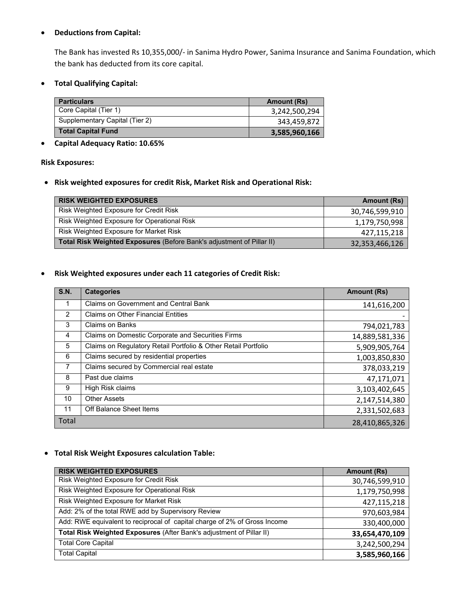### • **Deductions from Capital:**

The Bank has invested Rs 10,355,000/‐ in Sanima Hydro Power, Sanima Insurance and Sanima Foundation, which the bank has deducted from its core capital.

• **Total Qualifying Capital:** 

| <b>Particulars</b>             | <b>Amount (Rs)</b> |
|--------------------------------|--------------------|
| Core Capital (Tier 1)          | 3,242,500,294      |
| Supplementary Capital (Tier 2) | 343,459,872        |
| <b>Total Capital Fund</b>      | 3,585,960,166      |

# • **Capital Adequacy Ratio: 10.65%**

#### **Risk Exposures:**

• **Risk weighted exposures for credit Risk, Market Risk and Operational Risk:** 

| <b>RISK WEIGHTED EXPOSURES</b>                                        | <b>Amount (Rs)</b> |
|-----------------------------------------------------------------------|--------------------|
| Risk Weighted Exposure for Credit Risk                                | 30,746,599,910     |
| Risk Weighted Exposure for Operational Risk                           | 1,179,750,998      |
| Risk Weighted Exposure for Market Risk                                | 427,115,218        |
| Total Risk Weighted Exposures (Before Bank's adjustment of Pillar II) | 32,353,466,126     |

### • **Risk Weighted exposures under each 11 categories of Credit Risk:**

| <b>S.N.</b>    | <b>Categories</b>                                              | <b>Amount (Rs)</b> |
|----------------|----------------------------------------------------------------|--------------------|
|                | <b>Claims on Government and Central Bank</b>                   | 141,616,200        |
| $\overline{2}$ | <b>Claims on Other Financial Entities</b>                      |                    |
| 3              | <b>Claims on Banks</b>                                         | 794,021,783        |
| 4              | Claims on Domestic Corporate and Securities Firms              | 14,889,581,336     |
| 5              | Claims on Regulatory Retail Portfolio & Other Retail Portfolio | 5,909,905,764      |
| 6              | Claims secured by residential properties                       | 1,003,850,830      |
| 7              | Claims secured by Commercial real estate                       | 378,033,219        |
| 8              | Past due claims                                                | 47,171,071         |
| 9              | High Risk claims                                               | 3,103,402,645      |
| 10             | <b>Other Assets</b>                                            | 2,147,514,380      |
| 11             | Off Balance Sheet Items                                        | 2,331,502,683      |
| Total          |                                                                | 28,410,865,326     |

#### • **Total Risk Weight Exposures calculation Table:**

| <b>RISK WEIGHTED EXPOSURES</b>                                            | <b>Amount (Rs)</b> |
|---------------------------------------------------------------------------|--------------------|
| Risk Weighted Exposure for Credit Risk                                    | 30,746,599,910     |
| Risk Weighted Exposure for Operational Risk                               | 1,179,750,998      |
| Risk Weighted Exposure for Market Risk                                    | 427,115,218        |
| Add: 2% of the total RWE add by Supervisory Review                        | 970,603,984        |
| Add: RWE equivalent to reciprocal of capital charge of 2% of Gross Income | 330,400,000        |
| Total Risk Weighted Exposures (After Bank's adjustment of Pillar II)      | 33,654,470,109     |
| <b>Total Core Capital</b>                                                 | 3,242,500,294      |
| <b>Total Capital</b>                                                      | 3,585,960,166      |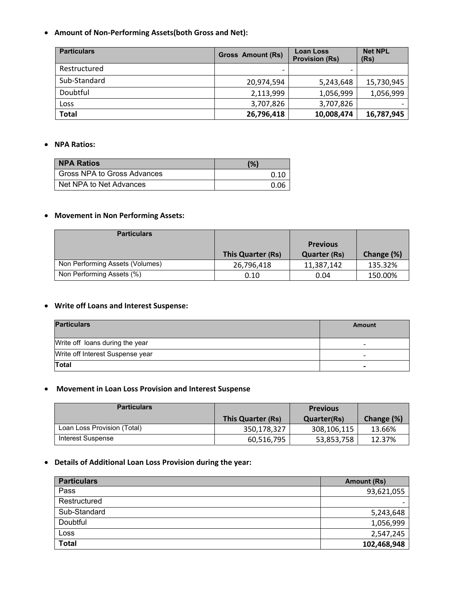• **Amount of Non‐Performing Assets(both Gross and Net):** 

| <b>Particulars</b> | <b>Gross Amount (Rs)</b> | <b>Loan Loss</b><br><b>Provision (Rs)</b> | <b>Net NPL</b><br>(Rs) |
|--------------------|--------------------------|-------------------------------------------|------------------------|
| Restructured       | $\overline{\phantom{0}}$ |                                           |                        |
| Sub-Standard       | 20,974,594               | 5,243,648                                 | 15,730,945             |
| Doubtful           | 2,113,999                | 1,056,999                                 | 1,056,999              |
| Loss               | 3,707,826                | 3,707,826                                 |                        |
| <b>Total</b>       | 26,796,418               | 10,008,474                                | 16,787,945             |

#### • **NPA Ratios:**

| <b>NPA Ratios</b>           | (%)          |
|-----------------------------|--------------|
| Gross NPA to Gross Advances | 0.10         |
| Net NPA to Net Advances     | <u> በ በ6</u> |

# • **Movement in Non Performing Assets:**

| <b>Particulars</b>              |                   |                                        |            |
|---------------------------------|-------------------|----------------------------------------|------------|
|                                 | This Quarter (Rs) | <b>Previous</b><br><b>Quarter (Rs)</b> | Change (%) |
| Non Performing Assets (Volumes) | 26,796,418        | 11,387,142                             | 135.32%    |
| Non Performing Assets (%)       | 0.10              | 0.04                                   | 150.00%    |

#### • **Write off Loans and Interest Suspense:**

| <b>Particulars</b>               | Amount                   |
|----------------------------------|--------------------------|
| Write off loans during the year  | $\overline{\phantom{0}}$ |
| Write off Interest Suspense year | -                        |
| Total                            |                          |

# • **Movement in Loan Loss Provision and Interest Suspense**

| <b>Particulars</b>          |                   | <b>Previous</b> |            |
|-----------------------------|-------------------|-----------------|------------|
|                             | This Quarter (Rs) | Quarter(Rs)     | Change (%) |
| Loan Loss Provision (Total) | 350,178,327       | 308,106,115     | 13.66%     |
| Interest Suspense           | 60,516,795        | 53,853,758      | 12.37%     |

# • **Details of Additional Loan Loss Provision during the year:**

| <b>Particulars</b> | Amount (Rs) |
|--------------------|-------------|
| Pass               | 93,621,055  |
| Restructured       |             |
| Sub-Standard       | 5,243,648   |
| Doubtful           | 1,056,999   |
| Loss               | 2,547,245   |
| <b>Total</b>       | 102,468,948 |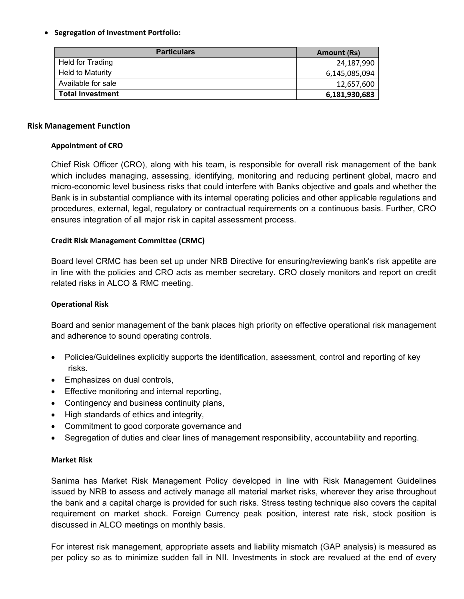### • **Segregation of Investment Portfolio:**

| <b>Particulars</b>      | Amount (Rs)   |
|-------------------------|---------------|
| Held for Trading        | 24,187,990    |
| Held to Maturity        | 6,145,085,094 |
| Available for sale      | 12,657,600    |
| <b>Total Investment</b> | 6,181,930,683 |

#### **Risk Management Function**

#### **Appointment of CRO**

Chief Risk Officer (CRO), along with his team, is responsible for overall risk management of the bank which includes managing, assessing, identifying, monitoring and reducing pertinent global, macro and micro-economic level business risks that could interfere with Banks objective and goals and whether the Bank is in substantial compliance with its internal operating policies and other applicable regulations and procedures, external, legal, regulatory or contractual requirements on a continuous basis. Further, CRO ensures integration of all major risk in capital assessment process.

#### **Credit Risk Management Committee (CRMC)**

Board level CRMC has been set up under NRB Directive for ensuring/reviewing bank's risk appetite are in line with the policies and CRO acts as member secretary. CRO closely monitors and report on credit related risks in ALCO & RMC meeting.

#### **Operational Risk**

Board and senior management of the bank places high priority on effective operational risk management and adherence to sound operating controls.

- Policies/Guidelines explicitly supports the identification, assessment, control and reporting of key risks.
- Emphasizes on dual controls,
- Effective monitoring and internal reporting,
- Contingency and business continuity plans,
- High standards of ethics and integrity,
- Commitment to good corporate governance and
- Segregation of duties and clear lines of management responsibility, accountability and reporting.

#### **Market Risk**

Sanima has Market Risk Management Policy developed in line with Risk Management Guidelines issued by NRB to assess and actively manage all material market risks, wherever they arise throughout the bank and a capital charge is provided for such risks. Stress testing technique also covers the capital requirement on market shock. Foreign Currency peak position, interest rate risk, stock position is discussed in ALCO meetings on monthly basis.

For interest risk management, appropriate assets and liability mismatch (GAP analysis) is measured as per policy so as to minimize sudden fall in NII. Investments in stock are revalued at the end of every